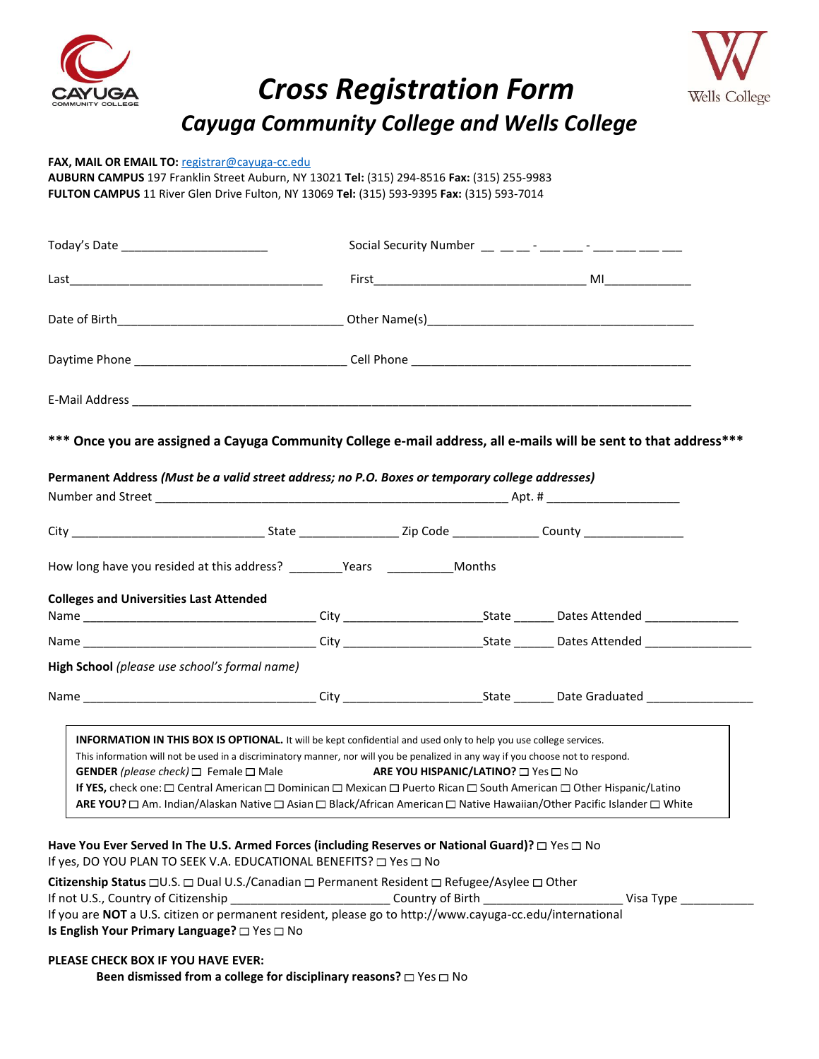

# *Cross Registration Form Cayuga Community College and Wells College*



## **FAX, MAIL OR EMAIL TO:** [registrar@cayuga-cc.edu](mailto:registrar@cayuga-cc.edu)

**AUBURN CAMPUS** 197 Franklin Street Auburn, NY 13021 **Tel:** (315) 294-8516 **Fax:** (315) 255-9983 **FULTON CAMPUS** 11 River Glen Drive Fulton, NY 13069 **Tel:** (315) 593-9395 **Fax:** (315) 593-7014

| Social Security Number $\frac{1}{2}$ $\frac{1}{2}$ $\frac{1}{2}$ $\frac{1}{2}$ $\frac{1}{2}$ $\frac{1}{2}$ $\frac{1}{2}$ $\frac{1}{2}$ $\frac{1}{2}$ $\frac{1}{2}$ $\frac{1}{2}$ $\frac{1}{2}$ $\frac{1}{2}$ $\frac{1}{2}$ $\frac{1}{2}$ $\frac{1}{2}$ $\frac{1}{2}$ $\frac{1}{2}$ $\frac{1}{2}$ $\frac{1}{2}$ |  |  |
|----------------------------------------------------------------------------------------------------------------------------------------------------------------------------------------------------------------------------------------------------------------------------------------------------------------|--|--|
|                                                                                                                                                                                                                                                                                                                |  |  |
|                                                                                                                                                                                                                                                                                                                |  |  |
|                                                                                                                                                                                                                                                                                                                |  |  |
|                                                                                                                                                                                                                                                                                                                |  |  |

## **\*\*\* Once you are assigned a Cayuga Community College e-mail address, all e-mails will be sent to that address\*\*\***

| Permanent Address (Must be a valid street address; no P.O. Boxes or temporary college addresses) |                                                                                                                                                                                                                                                                                                                                                                                                                                                                                                                                                                                                                                                                                                                                                                                                                                                          |  |
|--------------------------------------------------------------------------------------------------|----------------------------------------------------------------------------------------------------------------------------------------------------------------------------------------------------------------------------------------------------------------------------------------------------------------------------------------------------------------------------------------------------------------------------------------------------------------------------------------------------------------------------------------------------------------------------------------------------------------------------------------------------------------------------------------------------------------------------------------------------------------------------------------------------------------------------------------------------------|--|
|                                                                                                  |                                                                                                                                                                                                                                                                                                                                                                                                                                                                                                                                                                                                                                                                                                                                                                                                                                                          |  |
|                                                                                                  |                                                                                                                                                                                                                                                                                                                                                                                                                                                                                                                                                                                                                                                                                                                                                                                                                                                          |  |
|                                                                                                  |                                                                                                                                                                                                                                                                                                                                                                                                                                                                                                                                                                                                                                                                                                                                                                                                                                                          |  |
|                                                                                                  |                                                                                                                                                                                                                                                                                                                                                                                                                                                                                                                                                                                                                                                                                                                                                                                                                                                          |  |
|                                                                                                  |                                                                                                                                                                                                                                                                                                                                                                                                                                                                                                                                                                                                                                                                                                                                                                                                                                                          |  |
|                                                                                                  |                                                                                                                                                                                                                                                                                                                                                                                                                                                                                                                                                                                                                                                                                                                                                                                                                                                          |  |
|                                                                                                  |                                                                                                                                                                                                                                                                                                                                                                                                                                                                                                                                                                                                                                                                                                                                                                                                                                                          |  |
|                                                                                                  |                                                                                                                                                                                                                                                                                                                                                                                                                                                                                                                                                                                                                                                                                                                                                                                                                                                          |  |
| <b>High School</b> (please use school's formal name)                                             | How long have you resided at this address? __________Years ________________Months<br><b>INFORMATION IN THIS BOX IS OPTIONAL.</b> It will be kept confidential and used only to help you use college services.<br>This information will not be used in a discriminatory manner, nor will you be penalized in any way if you choose not to respond.<br>GENDER (please check) $\Box$ Female $\Box$ Male <b>ARE YOU HISPANIC/LATINO?</b> $\Box$ Yes $\Box$ No<br>If YES, check one: □ Central American □ Dominican □ Mexican □ Puerto Rican □ South American □ Other Hispanic/Latino<br>Have You Ever Served In The U.S. Armed Forces (including Reserves or National Guard)? □ Yes □ No<br>If yes, DO YOU PLAN TO SEEK V.A. EDUCATIONAL BENEFITS? □ Yes □ No<br>Citizenship Status □U.S. □ Dual U.S./Canadian □ Permanent Resident □ Refugee/Asylee □ Other |  |

If not U.S., Country of Citizenship \_\_\_\_\_\_\_\_\_\_\_\_\_\_\_\_\_\_\_\_\_\_\_\_ Country of Birth \_\_\_\_\_\_\_\_\_\_\_\_\_\_\_\_\_\_\_\_\_ Visa Type \_\_\_\_\_\_\_\_\_\_\_ If you are **NOT** a U.S. citizen or permanent resident, please go to http://www.cayuga-cc.edu/international **Is English Your Primary Language?** □ Yes □ No

#### **PLEASE CHECK BOX IF YOU HAVE EVER:**

**Been dismissed from a college for disciplinary reasons?**  $\Box$  Yes  $\Box$  No